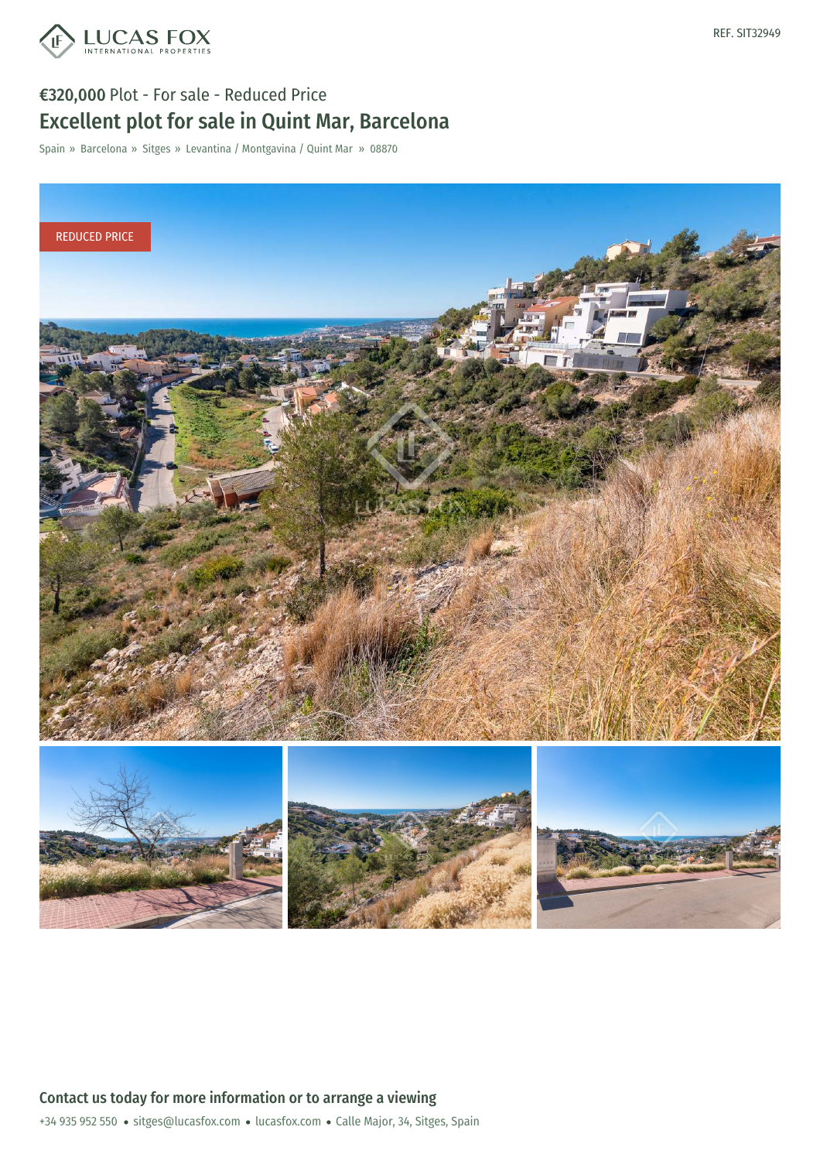

## €320,000 Plot - For sale - Reduced Price Excellent plot for sale in Quint Mar, Barcelona

Spain » Barcelona » Sitges » Levantina / Montgavina / Quint Mar » 08870